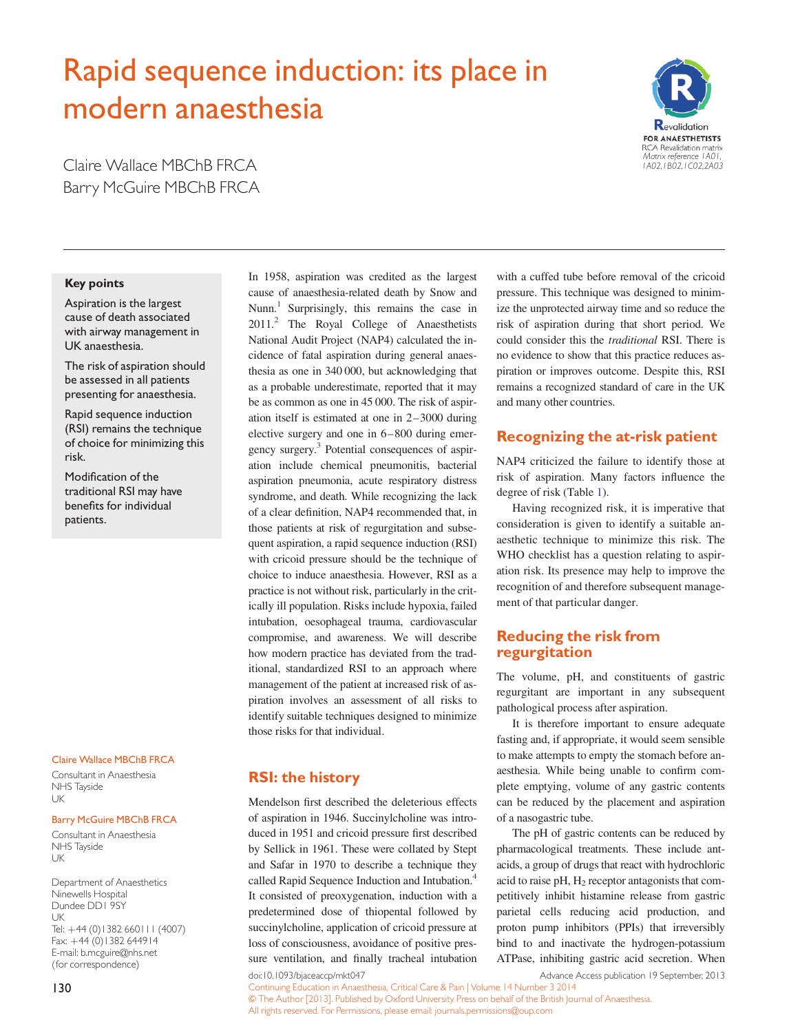# Rapid sequence induction: its place in modern anaesthesia

Claire Wallace MBChB FRCA Barry McGuire MBChB FRCA

# avalidation **FOR ANAESTHETISTS RCA** Revalidation matrix Matrix reference 1A01, 1A02,1B02,1C02,2A03

#### Key points

Aspiration is the largest cause of death associated with airway management in UK anaesthesia.

The risk of aspiration should be assessed in all patients presenting for anaesthesia.

Rapid sequence induction (RSI) remains the technique of choice for minimizing this risk.

Modification of the traditional RSI may have benefits for individual patients.

#### Claire Wallace MBChB FRCA

Consultant in Anaesthesia NHS Tayside UK

#### Barry McGuire MBChB FRCA

Consultant in Anaesthesia NHS Tayside UK

Department of Anaesthetics Ninewells Hospital Dundee DD1 9SY UK Tel: +44 (0)1382 660111 (4007) Fax: +44 (0)1382 644914 E-mail: b.mcguire@nhs.net (for correspondence)

In 1958, aspiration was credited as the largest cause of anaesthesia-related death by Snow and Nunn.<sup>1</sup> Surprisingly, this remains the case in 2011.<sup>2</sup> The Royal College of Anaesthetists National Audit Project (NAP4) calculated the incidence of fatal aspiration during general anaesthesia as one in 340 000, but acknowledging that as a probable underestimate, reported that it may be as common as one in 45 000. The risk of aspiration itself is estimated at one in 2–3000 during elective surgery and one in 6–800 during emergency surgery. $3$  Potential consequences of aspiration include chemical pneumonitis, bacterial aspiration pneumonia, acute respiratory distress syndrome, and death. While recognizing the lack of a clear definition, NAP4 recommended that, in those patients at risk of regurgitation and subsequent aspiration, a rapid sequence induction (RSI) with cricoid pressure should be the technique of choice to induce anaesthesia. However, RSI as a practice is not without risk, particularly in the critically ill population. Risks include hypoxia, failed intubation, oesophageal trauma, cardiovascular compromise, and awareness. We will describe how modern practice has deviated from the traditional, standardized RSI to an approach where management of the patient at increased risk of aspiration involves an assessment of all risks to identify suitable techniques designed to minimize those risks for that individual.

# RSI: the history

Mendelson first described the deleterious effects of aspiration in 1946. Succinylcholine was introduced in 1951 and cricoid pressure first described by Sellick in 1961. These were collated by Stept and Safar in 1970 to describe a technique they called Rapid Sequence Induction and Intubation.<sup>4</sup> It consisted of preoxygenation, induction with a predetermined dose of thiopental followed by succinylcholine, application of cricoid pressure at loss of consciousness, avoidance of positive pressure ventilation, and finally tracheal intubation with a cuffed tube before removal of the cricoid pressure. This technique was designed to minimize the unprotected airway time and so reduce the risk of aspiration during that short period. We could consider this the traditional RSI. There is no evidence to show that this practice reduces aspiration or improves outcome. Despite this, RSI remains a recognized standard of care in the UK and many other countries.

# Recognizing the at-risk patient

NAP4 criticized the failure to identify those at risk of aspiration. Many factors influence the degree of risk (Table [1](#page-1-0)).

Having recognized risk, it is imperative that consideration is given to identify a suitable anaesthetic technique to minimize this risk. The WHO checklist has a question relating to aspiration risk. Its presence may help to improve the recognition of and therefore subsequent management of that particular danger.

# Reducing the risk from regurgitation

The volume, pH, and constituents of gastric regurgitant are important in any subsequent pathological process after aspiration.

It is therefore important to ensure adequate fasting and, if appropriate, it would seem sensible to make attempts to empty the stomach before anaesthesia. While being unable to confirm complete emptying, volume of any gastric contents can be reduced by the placement and aspiration of a nasogastric tube.

The pH of gastric contents can be reduced by pharmacological treatments. These include antacids, a group of drugs that react with hydrochloric acid to raise pH,  $H_2$  receptor antagonists that competitively inhibit histamine release from gastric parietal cells reducing acid production, and proton pump inhibitors (PPIs) that irreversibly bind to and inactivate the hydrogen-potassium ATPase, inhibiting gastric acid secretion. When

doi:10.1093/bjaceaccp/mkt047 Advance Access publication 19 September, 2013 Continuing Education in Anaesthesia, Critical Care & Pain | Volume 14 Number 3 2014 © The Author [2013]. Published by Oxford University Press on behalf of the British Journal of Anaesthesia. All rights reserved. For Permissions, please email: journals.permissions@oup.com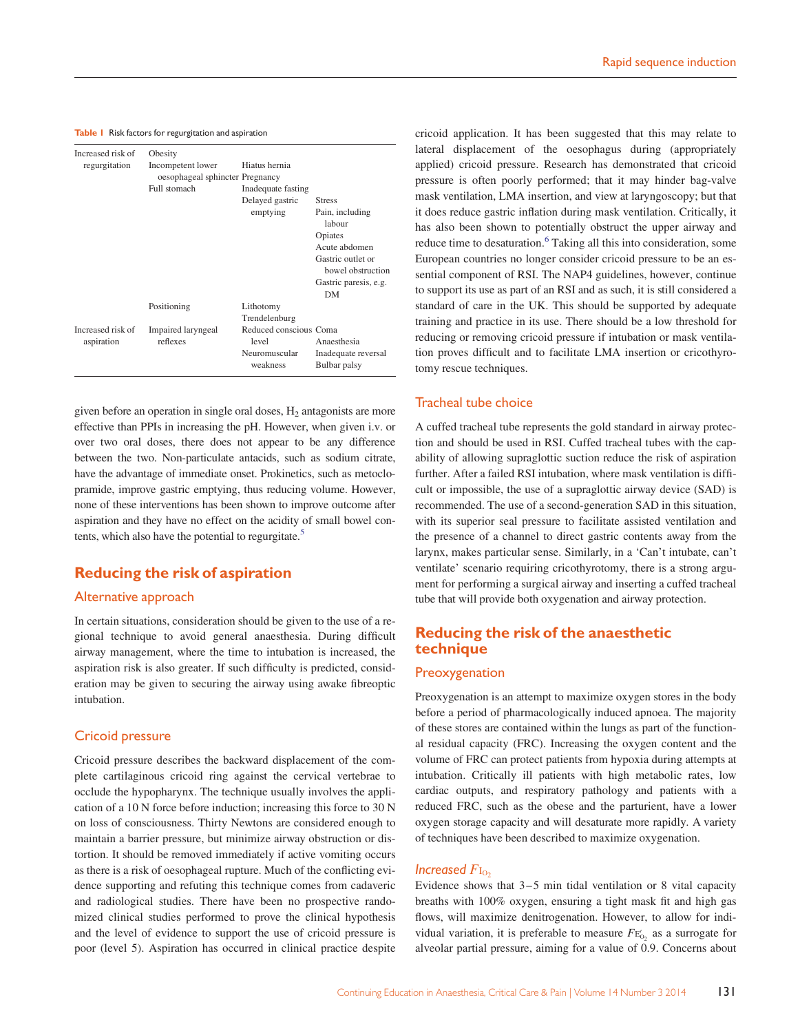<span id="page-1-0"></span>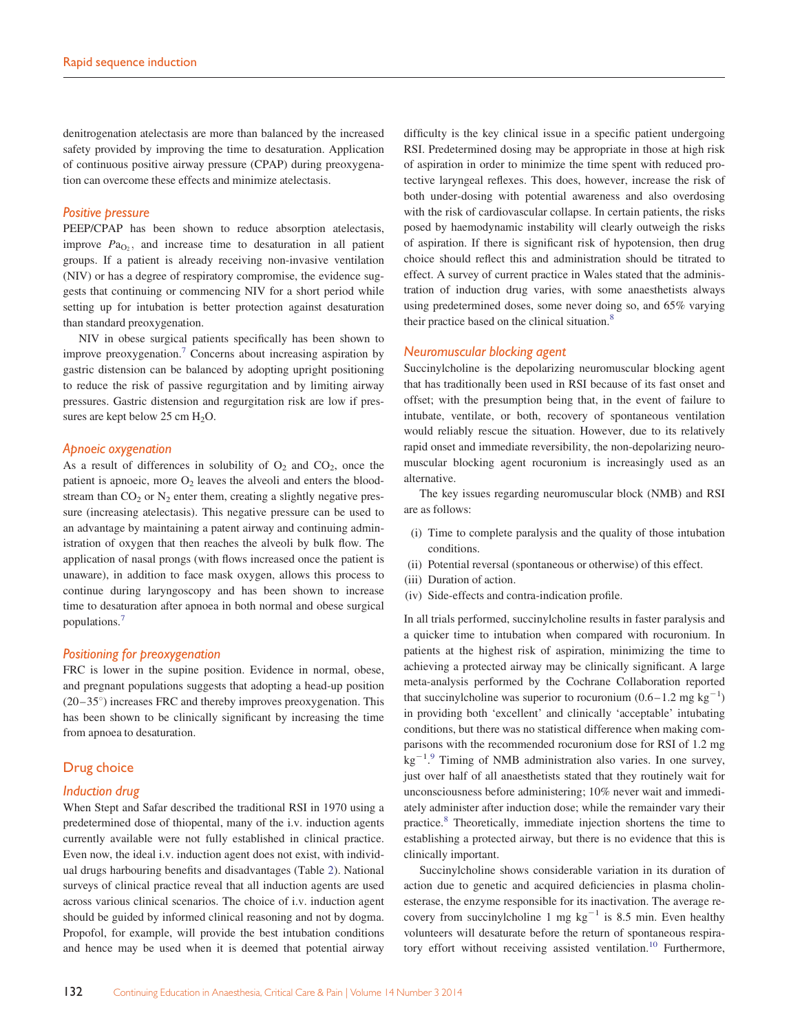denitrogenation atelectasis are more than balanced by the increased safety provided by improving the time to desaturation. Application of continuous positive airway pressure (CPAP) during preoxygenation can overcome these effects and minimize atelectasis.

#### Positive pressure

PEEP/CPAP has been shown to reduce absorption atelectasis, improve  $Pa<sub>O<sub>2</sub></sub>$ , and increase time to desaturation in all patient groups. If a patient is already receiving non-invasive ventilation (NIV) or has a degree of respiratory compromise, the evidence suggests that continuing or commencing NIV for a short period while setting up for intubation is better protection against desaturation than standard preoxygenation.

NIV in obese surgical patients specifically has been shown to improve preoxygenation.<sup>7</sup> Concerns about increasing aspiration by gastric distension can be balanced by adopting upright positioning to reduce the risk of passive regurgitation and by limiting airway pressures. Gastric distension and regurgitation risk are low if pressures are kept below  $25 \text{ cm H}_2\text{O}$ .

#### Apnoeic oxygenation

As a result of differences in solubility of  $O_2$  and  $CO_2$ , once the patient is apnoeic, more  $O_2$  leaves the alveoli and enters the bloodstream than  $CO<sub>2</sub>$  or  $N<sub>2</sub>$  enter them, creating a slightly negative pressure (increasing atelectasis). This negative pressure can be used to an advantage by maintaining a patent airway and continuing administration of oxygen that then reaches the alveoli by bulk flow. The application of nasal prongs (with flows increased once the patient is unaware), in addition to face mask oxygen, allows this process to continue during laryngoscopy and has been shown to increase time to desaturation after apnoea in both normal and obese surgical populations.[7](#page-4-0)

#### Positioning for preoxygenation

FRC is lower in the supine position. Evidence in normal, obese, and pregnant populations suggests that adopting a head-up position  $(20-35^{\circ})$  increases FRC and thereby improves preoxygenation. This has been shown to be clinically significant by increasing the time from apnoea to desaturation.

#### Drug choice

#### Induction drug

When Stept and Safar described the traditional RSI in 1970 using a predetermined dose of thiopental, many of the i.v. induction agents currently available were not fully established in clinical practice. Even now, the ideal i.v. induction agent does not exist, with individual drugs harbouring benefits and disadvantages (Table [2\)](#page-3-0). National surveys of clinical practice reveal that all induction agents are used across various clinical scenarios. The choice of i.v. induction agent should be guided by informed clinical reasoning and not by dogma. Propofol, for example, will provide the best intubation conditions and hence may be used when it is deemed that potential airway

difficulty is the key clinical issue in a specific patient undergoing RSI. Predetermined dosing may be appropriate in those at high risk of aspiration in order to minimize the time spent with reduced protective laryngeal reflexes. This does, however, increase the risk of both under-dosing with potential awareness and also overdosing with the risk of cardiovascular collapse. In certain patients, the risks posed by haemodynamic instability will clearly outweigh the risks of aspiration. If there is significant risk of hypotension, then drug choice should reflect this and administration should be titrated to effect. A survey of current practice in Wales stated that the administration of induction drug varies, with some anaesthetists always using predetermined doses, some never doing so, and 65% varying their practice based on the clinical situation.<sup>[8](#page-4-0)</sup>

#### Neuromuscular blocking agent

Succinylcholine is the depolarizing neuromuscular blocking agent that has traditionally been used in RSI because of its fast onset and offset; with the presumption being that, in the event of failure to intubate, ventilate, or both, recovery of spontaneous ventilation would reliably rescue the situation. However, due to its relatively rapid onset and immediate reversibility, the non-depolarizing neuromuscular blocking agent rocuronium is increasingly used as an alternative.

The key issues regarding neuromuscular block (NMB) and RSI are as follows:

- (i) Time to complete paralysis and the quality of those intubation conditions.
- (ii) Potential reversal (spontaneous or otherwise) of this effect.
- (iii) Duration of action.
- (iv) Side-effects and contra-indication profile.

In all trials performed, succinylcholine results in faster paralysis and a quicker time to intubation when compared with rocuronium. In patients at the highest risk of aspiration, minimizing the time to achieving a protected airway may be clinically significant. A large meta-analysis performed by the Cochrane Collaboration reported that succinylcholine was superior to rocuronium  $(0.6-1.2 \text{ mg kg}^{-1})$ in providing both 'excellent' and clinically 'acceptable' intubating conditions, but there was no statistical difference when making comparisons with the recommended rocuronium dose for RSI of 1.2 mg  $kg^{-1.9}$  $kg^{-1.9}$  $kg^{-1.9}$  Timing of NMB administration also varies. In one survey, just over half of all anaesthetists stated that they routinely wait for unconsciousness before administering; 10% never wait and immediately administer after induction dose; while the remainder vary their practice.[8](#page-4-0) Theoretically, immediate injection shortens the time to establishing a protected airway, but there is no evidence that this is clinically important.

Succinylcholine shows considerable variation in its duration of action due to genetic and acquired deficiencies in plasma cholinesterase, the enzyme responsible for its inactivation. The average recovery from succinylcholine 1 mg  $kg^{-1}$  is 8.5 min. Even healthy volunteers will desaturate before the return of spontaneous respira-tory effort without receiving assisted ventilation.<sup>[10](#page-4-0)</sup> Furthermore,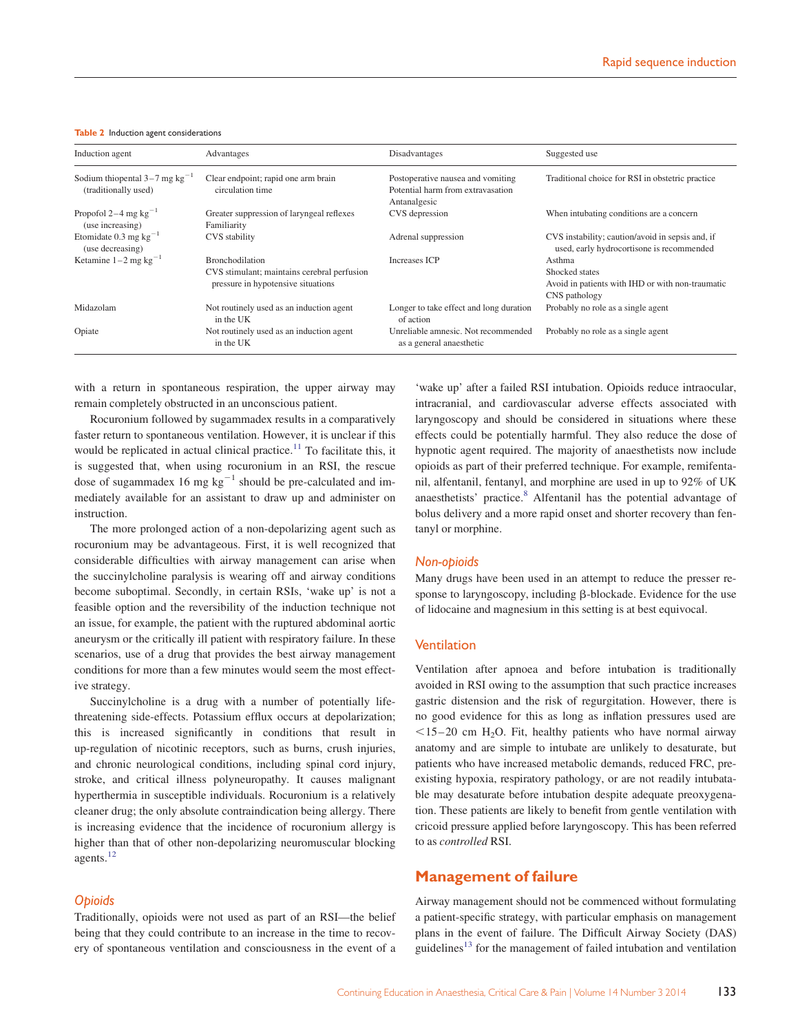| Induction agent                                                     | Advantages                                                                                                  | Disadvantages                                                                          | Suggested use                                                                                 |
|---------------------------------------------------------------------|-------------------------------------------------------------------------------------------------------------|----------------------------------------------------------------------------------------|-----------------------------------------------------------------------------------------------|
| Sodium thiopental $3-7$ mg kg <sup>-1</sup><br>(traditionally used) | Clear endpoint; rapid one arm brain<br>circulation time                                                     | Postoperative nausea and vomiting<br>Potential harm from extravasation<br>Antanalgesic | Traditional choice for RSI in obstetric practice                                              |
| Propofol 2–4 mg $kg^{-1}$<br>(use increasing)                       | Greater suppression of laryngeal reflexes<br>Familiarity                                                    | CVS depression                                                                         | When intubating conditions are a concern                                                      |
| Etomidate 0.3 mg $kg^{-1}$<br>(use decreasing)                      | CVS stability                                                                                               | Adrenal suppression                                                                    | CVS instability; caution/avoid in sepsis and, if<br>used, early hydrocortisone is recommended |
| Ketamine $1-2$ mg kg <sup>-1</sup>                                  | <b>Bronchodilation</b><br>CVS stimulant; maintains cerebral perfusion<br>pressure in hypotensive situations | Increases ICP                                                                          | Asthma<br>Shocked states<br>Avoid in patients with IHD or with non-traumatic<br>CNS pathology |
| Midazolam                                                           | Not routinely used as an induction agent<br>in the UK                                                       | Longer to take effect and long duration<br>of action                                   | Probably no role as a single agent                                                            |
| Opiate                                                              | Not routinely used as an induction agent<br>in the UK                                                       | Unreliable amnesic. Not recommended<br>as a general anaesthetic                        | Probably no role as a single agent                                                            |

#### <span id="page-3-0"></span>Table 2 Induction agent considerations

with a return in spontaneous respiration, the upper airway may remain completely obstructed in an unconscious patient.

Rocuronium followed by sugammadex results in a comparatively faster return to spontaneous ventilation. However, it is unclear if this would be replicated in actual clinical practice.<sup>[11](#page-5-0)</sup> To facilitate this, it is suggested that, when using rocuronium in an RSI, the rescue dose of sugammadex 16 mg  $kg^{-1}$  should be pre-calculated and immediately available for an assistant to draw up and administer on instruction.

The more prolonged action of a non-depolarizing agent such as rocuronium may be advantageous. First, it is well recognized that considerable difficulties with airway management can arise when the succinylcholine paralysis is wearing off and airway conditions become suboptimal. Secondly, in certain RSIs, 'wake up' is not a feasible option and the reversibility of the induction technique not an issue, for example, the patient with the ruptured abdominal aortic aneurysm or the critically ill patient with respiratory failure. In these scenarios, use of a drug that provides the best airway management conditions for more than a few minutes would seem the most effective strategy.

Succinylcholine is a drug with a number of potentially lifethreatening side-effects. Potassium efflux occurs at depolarization; this is increased significantly in conditions that result in up-regulation of nicotinic receptors, such as burns, crush injuries, and chronic neurological conditions, including spinal cord injury, stroke, and critical illness polyneuropathy. It causes malignant hyperthermia in susceptible individuals. Rocuronium is a relatively cleaner drug; the only absolute contraindication being allergy. There is increasing evidence that the incidence of rocuronium allergy is higher than that of other non-depolarizing neuromuscular blocking agents.<sup>[12](#page-5-0)</sup>

#### **Opioids**

Traditionally, opioids were not used as part of an RSI—the belief being that they could contribute to an increase in the time to recovery of spontaneous ventilation and consciousness in the event of a

'wake up' after a failed RSI intubation. Opioids reduce intraocular, intracranial, and cardiovascular adverse effects associated with laryngoscopy and should be considered in situations where these effects could be potentially harmful. They also reduce the dose of hypnotic agent required. The majority of anaesthetists now include opioids as part of their preferred technique. For example, remifentanil, alfentanil, fentanyl, and morphine are used in up to 92% of UK anaesthetists' practice.<sup>[8](#page-4-0)</sup> Alfentanil has the potential advantage of bolus delivery and a more rapid onset and shorter recovery than fentanyl or morphine.

#### Non-opioids

Many drugs have been used in an attempt to reduce the presser response to laryngoscopy, including  $\beta$ -blockade. Evidence for the use of lidocaine and magnesium in this setting is at best equivocal.

#### Ventilation

Ventilation after apnoea and before intubation is traditionally avoided in RSI owing to the assumption that such practice increases gastric distension and the risk of regurgitation. However, there is no good evidence for this as long as inflation pressures used are  $<$ 15–20 cm H<sub>2</sub>O. Fit, healthy patients who have normal airway anatomy and are simple to intubate are unlikely to desaturate, but patients who have increased metabolic demands, reduced FRC, preexisting hypoxia, respiratory pathology, or are not readily intubatable may desaturate before intubation despite adequate preoxygenation. These patients are likely to benefit from gentle ventilation with cricoid pressure applied before laryngoscopy. This has been referred to as controlled RSI.

# Management of failure

Airway management should not be commenced without formulating a patient-specific strategy, with particular emphasis on management plans in the event of failure. The Difficult Airway Society (DAS) guidelines $13$  for the management of failed intubation and ventilation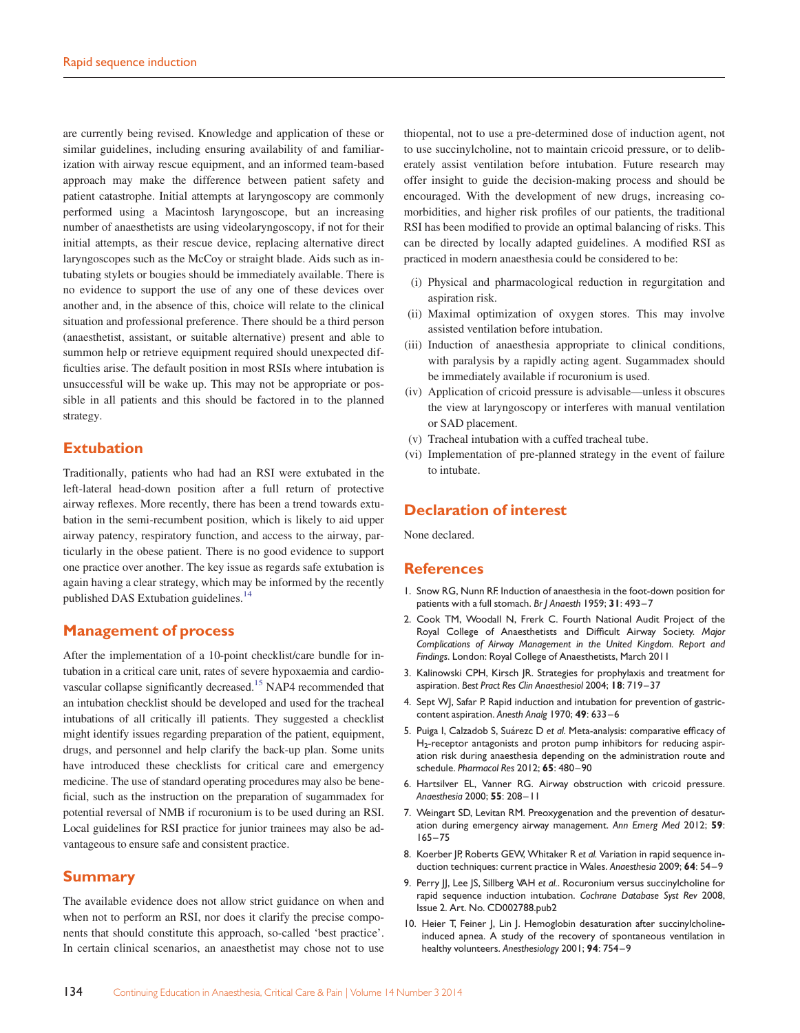<span id="page-4-0"></span>are currently being revised. Knowledge and application of these or similar guidelines, including ensuring availability of and familiarization with airway rescue equipment, and an informed team-based approach may make the difference between patient safety and patient catastrophe. Initial attempts at laryngoscopy are commonly performed using a Macintosh laryngoscope, but an increasing number of anaesthetists are using videolaryngoscopy, if not for their initial attempts, as their rescue device, replacing alternative direct laryngoscopes such as the McCoy or straight blade. Aids such as intubating stylets or bougies should be immediately available. There is no evidence to support the use of any one of these devices over another and, in the absence of this, choice will relate to the clinical situation and professional preference. There should be a third person (anaesthetist, assistant, or suitable alternative) present and able to summon help or retrieve equipment required should unexpected difficulties arise. The default position in most RSIs where intubation is unsuccessful will be wake up. This may not be appropriate or possible in all patients and this should be factored in to the planned strategy.

# Extubation

Traditionally, patients who had had an RSI were extubated in the left-lateral head-down position after a full return of protective airway reflexes. More recently, there has been a trend towards extubation in the semi-recumbent position, which is likely to aid upper airway patency, respiratory function, and access to the airway, particularly in the obese patient. There is no good evidence to support one practice over another. The key issue as regards safe extubation is again having a clear strategy, which may be informed by the recently published DAS Extubation guidelines.<sup>14</sup>

#### Management of process

After the implementation of a 10-point checklist/care bundle for intubation in a critical care unit, rates of severe hypoxaemia and cardiovascular collapse significantly decreased.[15](#page-5-0) NAP4 recommended that an intubation checklist should be developed and used for the tracheal intubations of all critically ill patients. They suggested a checklist might identify issues regarding preparation of the patient, equipment, drugs, and personnel and help clarify the back-up plan. Some units have introduced these checklists for critical care and emergency medicine. The use of standard operating procedures may also be beneficial, such as the instruction on the preparation of sugammadex for potential reversal of NMB if rocuronium is to be used during an RSI. Local guidelines for RSI practice for junior trainees may also be advantageous to ensure safe and consistent practice.

### Summary

The available evidence does not allow strict guidance on when and when not to perform an RSI, nor does it clarify the precise components that should constitute this approach, so-called 'best practice'. In certain clinical scenarios, an anaesthetist may chose not to use

thiopental, not to use a pre-determined dose of induction agent, not to use succinylcholine, not to maintain cricoid pressure, or to deliberately assist ventilation before intubation. Future research may offer insight to guide the decision-making process and should be encouraged. With the development of new drugs, increasing comorbidities, and higher risk profiles of our patients, the traditional RSI has been modified to provide an optimal balancing of risks. This can be directed by locally adapted guidelines. A modified RSI as practiced in modern anaesthesia could be considered to be:

- (i) Physical and pharmacological reduction in regurgitation and aspiration risk.
- (ii) Maximal optimization of oxygen stores. This may involve assisted ventilation before intubation.
- (iii) Induction of anaesthesia appropriate to clinical conditions, with paralysis by a rapidly acting agent. Sugammadex should be immediately available if rocuronium is used.
- (iv) Application of cricoid pressure is advisable—unless it obscures the view at laryngoscopy or interferes with manual ventilation or SAD placement.
- (v) Tracheal intubation with a cuffed tracheal tube.
- (vi) Implementation of pre-planned strategy in the event of failure to intubate.

#### Declaration of interest

None declared.

#### **References**

- 1. Snow RG, Nunn RF. Induction of anaesthesia in the foot-down position for patients with a full stomach. Br J Anaesth 1959; 31: 493-7
- 2. Cook TM, Woodall N, Frerk C. Fourth National Audit Project of the Royal College of Anaesthetists and Difficult Airway Society. Major Complications of Airway Management in the United Kingdom. Report and Findings. London: Royal College of Anaesthetists, March 2011
- 3. Kalinowski CPH, Kirsch JR. Strategies for prophylaxis and treatment for aspiration. Best Pract Res Clin Anaesthesiol 2004; 18: 719– 37
- 4. Sept WJ, Safar P. Rapid induction and intubation for prevention of gastriccontent aspiration. Anesth Analg 1970; 49: 633-6
- 5. Puiga I, Calzadob S, Suárezc D et al. Meta-analysis: comparative efficacy of H<sub>2</sub>-receptor antagonists and proton pump inhibitors for reducing aspiration risk during anaesthesia depending on the administration route and schedule. Pharmacol Res 2012; 65: 480–90
- 6. Hartsilver EL, Vanner RG. Airway obstruction with cricoid pressure. Anaesthesia 2000; 55: 208– 11
- 7. Weingart SD, Levitan RM. Preoxygenation and the prevention of desaturation during emergency airway management. Ann Emerg Med 2012; 59: 165–75
- 8. Koerber JP, Roberts GEW, Whitaker R et al. Variation in rapid sequence induction techniques: current practice in Wales. Anaesthesia 2009; 64: 54–9
- 9. Perry JJ, Lee JS, Sillberg VAH et al.. Rocuronium versus succinylcholine for rapid sequence induction intubation. Cochrane Database Syst Rev 2008, Issue 2. Art. No. CD002788.pub2
- 10. Heier T, Feiner J, Lin J. Hemoglobin desaturation after succinylcholineinduced apnea. A study of the recovery of spontaneous ventilation in healthy volunteers. Anesthesiology 2001; 94: 754– 9